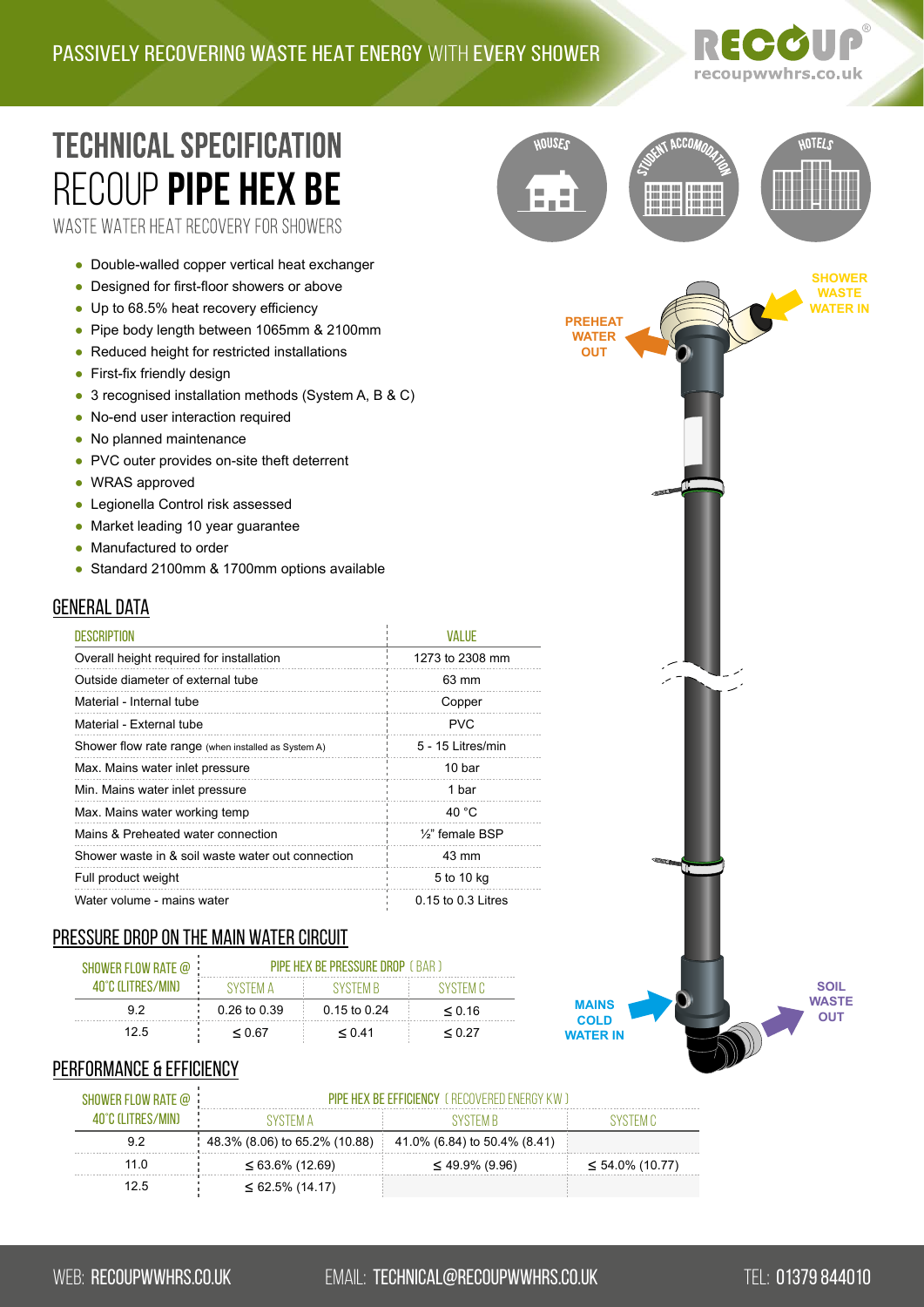

**CCO** 

**SHOWER WASTE WATER IN**

**HOTELS** 

# **TECHNICAL SPECIFICATION** RECOUP **[pIPE HEX Be](https://recoupwwhrs.co.uk/products/pipe-hex/)** WASTE WATER HEAT RECOVERY FOR SHOWERS

● Double-walled copper vertical heat exchanger

- Designed for first-floor showers or above
- Up to 68.5% heat recovery efficiency
- Pipe body length between 1065mm & 2100mm
- Reduced height for restricted installations
- First-fix friendly design
- 3 recognised installation methods (System A, B & C)
- No-end user interaction required
- No planned maintenance
- PVC outer provides on-site theft deterrent
- WRAS approved
- Legionella Control risk assessed
- Market leading 10 year guarantee
- Manufactured to order
- Standard 2100mm & 1700mm options available

# **GENERAL DATA**

| <b>DESCRIPTION</b>                                  | <b>VALUE</b>                 |
|-----------------------------------------------------|------------------------------|
| Overall height required for installation            | 1273 to 2308 mm              |
| Outside diameter of external tube                   | 63 mm                        |
| Material - Internal tube                            | Copper                       |
| Material - External tube                            | <b>PVC</b>                   |
| Shower flow rate range (when installed as System A) | 5 - 15 Litres/min            |
| Max. Mains water inlet pressure                     | 10 bar                       |
| Min. Mains water inlet pressure                     | 1 bar                        |
| Max. Mains water working temp                       | 40 °C                        |
| Mains & Preheated water connection                  | 1/ <sub>2</sub> " female BSP |
| Shower waste in & soil waste water out connection   | 43 mm                        |
| Full product weight                                 | 5 to 10 kg                   |
| Water volume - mains water                          | 0.15 to 0.3 Litres           |

## Pressure drop on the main water circuit

| SHOWER FLOW RATE $@$ | <b>PIPE HEX BE PRESSURE DROP</b> (BAR) |                  |             |
|----------------------|----------------------------------------|------------------|-------------|
| 40°C (I ITRES/MIN)   | SYSTEM A                               | SYSTEM R         | SYSTEM C    |
| 92                   | 0.26 to 0.39                           | $0.15$ to $0.24$ | $\leq 0.16$ |
| 12.5                 | < 0.67                                 | < 0.41           | < 0.27      |

# **MAINS COLD WATER IN**

**PREHEAT WATER OUT**

**HOUSES** 

**DIE B** 

**SOIL WASTE OUT**

### PERFORMANCE & EFFICIENCY

| SHOWER FLOW RATE $@$ | <b>PIPF HEX BE FFFICIENCY</b> ( RECOVERED ENFRGY KW ) |                              |                       |
|----------------------|-------------------------------------------------------|------------------------------|-----------------------|
| 40°C (LITRES/MIN)    | XYSTEM Δ                                              | SYSTEM R                     |                       |
| 92                   | $\frac{1}{2}$ 48.3% (8.06) to 65.2% (10.88)           | 41.0% (6.84) to 50.4% (8.41) |                       |
| 11 N                 | $\leq 63.6\%$ (12.69)                                 | $\leq$ 49.9% (9.96)          | $\leq 54.0\%$ (10.77) |
| 12.5                 | $\leq 62.5\%$ (14.17)                                 |                              |                       |

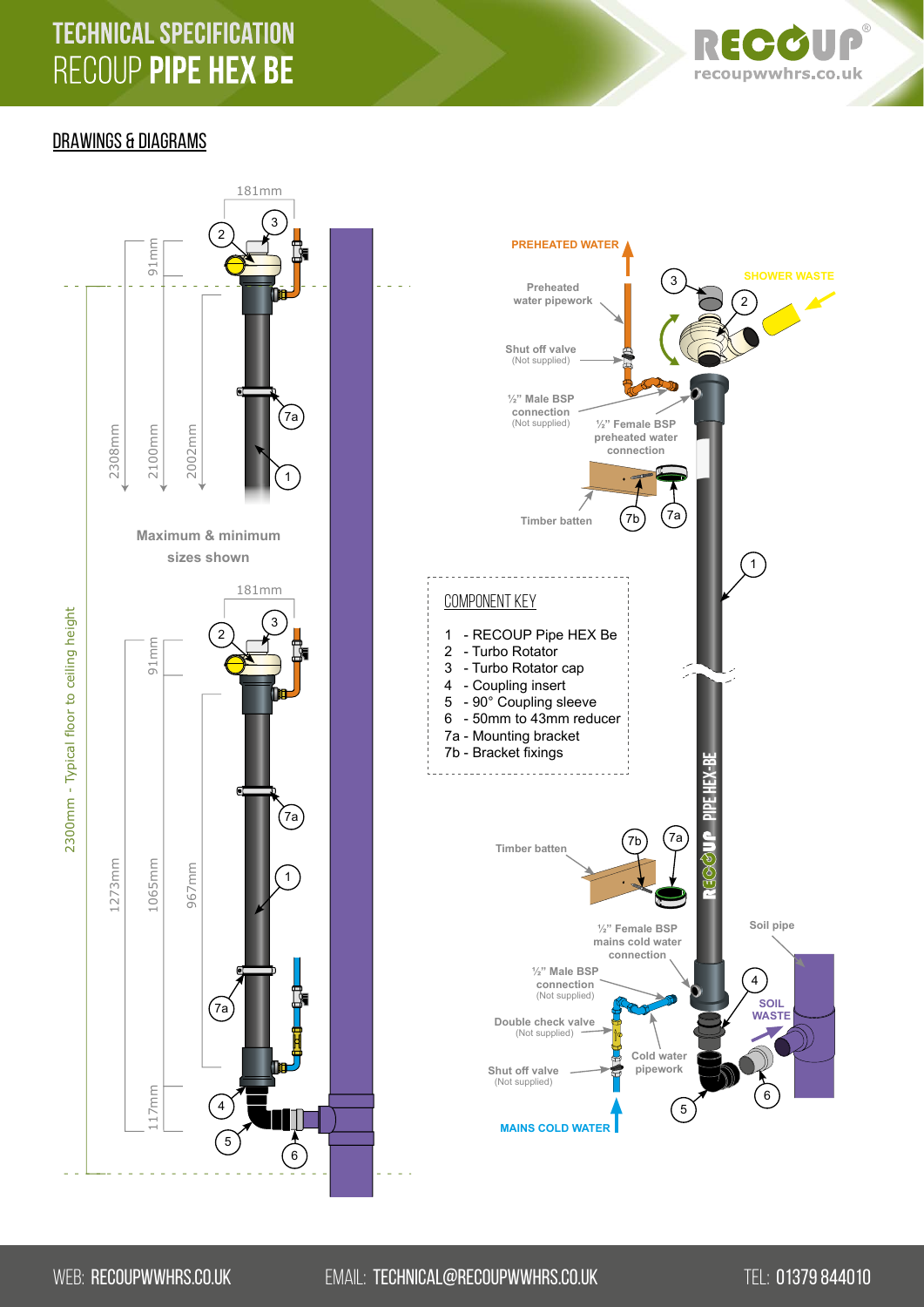# **TECHNICAL SPECIFICATION** RECOUP PIPE HEX BE



# DRAWINGS & DIAGRAMS